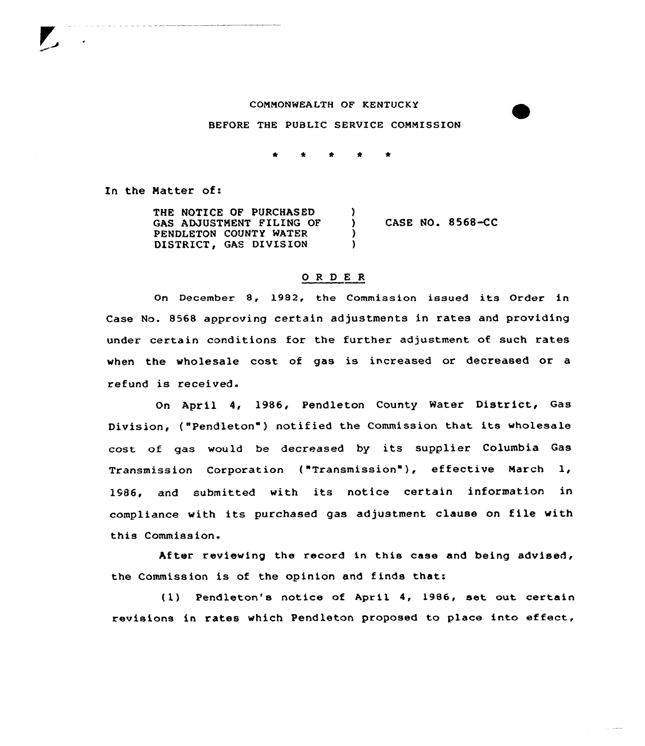## COMMONWEALTH OF KENTUCKY

BEFORE THE PUBLIC SERVICE COMMISSION

In the Natter of:

THE NOTICE OF PURCHASED GAS ADJUSTMENT FILING OF PENDLETON COUNTY WATER DISTRICT, GAS DIVISION ) ) CASE NO. 8568-CC )  $\lambda$ 

### 0 <sup>R</sup> <sup>D</sup> E <sup>R</sup>

On December 8, 1982, the Commission issued its Order in Case No. 8568 approving certain adjustments in rates and providing under certain conditions for the further adjustment of such rates when the wholesale cost of gas is increased or decreased or a refund is received.

On April 4, 1986, Pendleton County Water District, Gas Division, ("Pendleton" ) notified the Commission that its wholesale cost of gas would be decreased by its supplier Columbia Gas Transmission Corporation ("Transmission"), effective March 1, 1986, and submitted with its notice certain information in compliance with its purchased gas adjustment clause on file with this Commission.

After reviewing the record in this case and being advised, the Commission is of the opinion and finds that:

{1) Pendleton's notice of April 4, 1986, set out certain revisions in rates which Pendleton proposed to place into effect,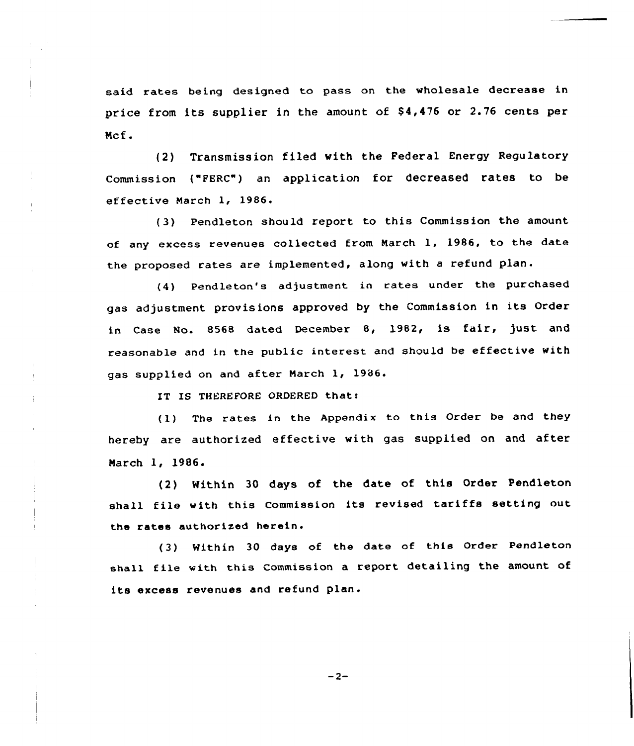said rates being designed to pass on the wholesale decrease in price from its supplier in the amount of \$4,476 or 2.76 cents per Ncf.

(2) Transmission filed with the Federal Energy Regulatory Commission {"FERC"} an application for decreased rates to be effective March 1, 1986

'3} Pendleton should report to this Commission the amount of any excess revenues collected from Narch 1, 1986, to the date the proposed rates are implemented, along with a refund plan.

(4) Pendleton's adjustment in rates under the purchased gas adjustment provisions approved by the Commission in its Order in Case No. 8568 dated December 8, 1982, is fair, just and reasonable and in the public interest and should be effective with gas supplied on and after Narch 1, 1986.

IT IS THEREFORE ORDERED that:

(1) The rates in the Appendix to this Order be and they hereby are authorized effective with gas supplied on and after Narch 1, 1986.

(2) Within <sup>30</sup> days of the date of this Order Pendleton shall file with this Commission its revised tariffs setting out the rates authorized herein.

(3} Within <sup>30</sup> days of the date of this Order Pendleton shall file with this Commission <sup>a</sup> report detailing the amount of its excess revenues and refund plan.

 $-2-$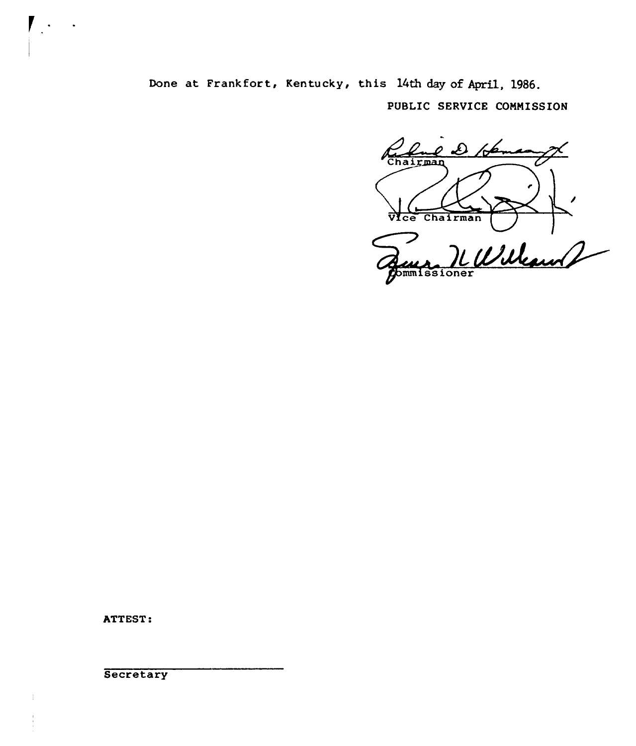Done at Frankfort, Kentucky, this 14th day of April, 1986.

PUBLIC SERVICE COMMISSION

دعمہ Chairman VIce Chairman UWeau 2 Commissioner

ATTEST:

 $\overline{ }$ 

**Secretary**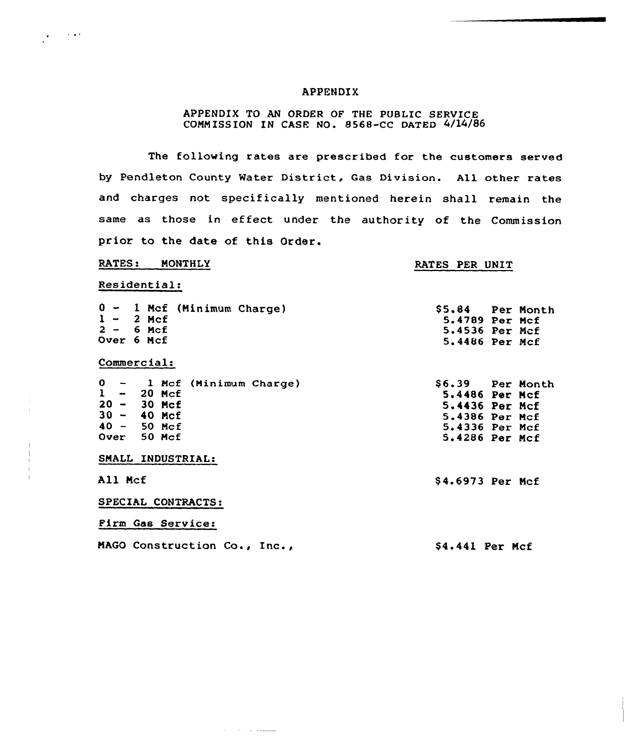## APPENDIX

# APPENDIX TO AN ORDER OF THE PUBLIC SERVICE COMMISSION IN CASE NO. 8568-CC DATED 4/14/86

The following rates are prescribed for the customers served by Pendleton County Water District, Gas Division. All other rates and charges not specifically mentioned herein shall remain the same as those in effect under the authority of the Commission prior to the date of this Order.

### RATES: MONTHLY

## RATES PER UNIT

Residential:

 $\frac{1}{2} \sum_{i=1}^{n} \frac{1}{2} \sum_{j=1}^{n} \frac{1}{2} \sum_{j=1}^{n} \frac{1}{2} \sum_{j=1}^{n} \frac{1}{2} \sum_{j=1}^{n} \frac{1}{2} \sum_{j=1}^{n} \frac{1}{2} \sum_{j=1}^{n} \frac{1}{2} \sum_{j=1}^{n} \frac{1}{2} \sum_{j=1}^{n} \frac{1}{2} \sum_{j=1}^{n} \frac{1}{2} \sum_{j=1}^{n} \frac{1}{2} \sum_{j=1}^{n} \frac{1}{2} \sum_{j=1}^{n$ 

| 0 - 1 Mcf (Minimum Charge)<br>$1 - 2$ Mcf<br>$2 - 6$ Mcf<br>Over 6 Mcf                                         | \$5.84 Per Month<br>5.4789 Per Mcf<br>5.4536 Per Mcf<br>5.4486 Per Mcf                                     |
|----------------------------------------------------------------------------------------------------------------|------------------------------------------------------------------------------------------------------------|
| Commercial:                                                                                                    |                                                                                                            |
| $0 - 1$ Mcf (Minimum Charge)<br>$1 - 20$ Mcf<br>$20 - 30$ Mcf<br>$30 - 40$ Mcf<br>$40 - 50$ Mcf<br>Over 50 Mcf | \$6.39 Per Month<br>5.4486 Per Mcf<br>5.4436 Per Mcf<br>5.4386 Per Mcf<br>5.4336 Per Mcf<br>5.4286 Per Mcf |
| SMALL INDUSTRIAL:                                                                                              |                                                                                                            |
| All Mcf                                                                                                        | \$4.6973 Per Mcf                                                                                           |
| SPECIAL CONTRACTS:                                                                                             |                                                                                                            |
| <b>Firm Gas Service:</b>                                                                                       |                                                                                                            |
| MAGO Construction Co., Inc.,                                                                                   | \$4.441 Per Mcf                                                                                            |

المستقلة والمرادي والمرادي